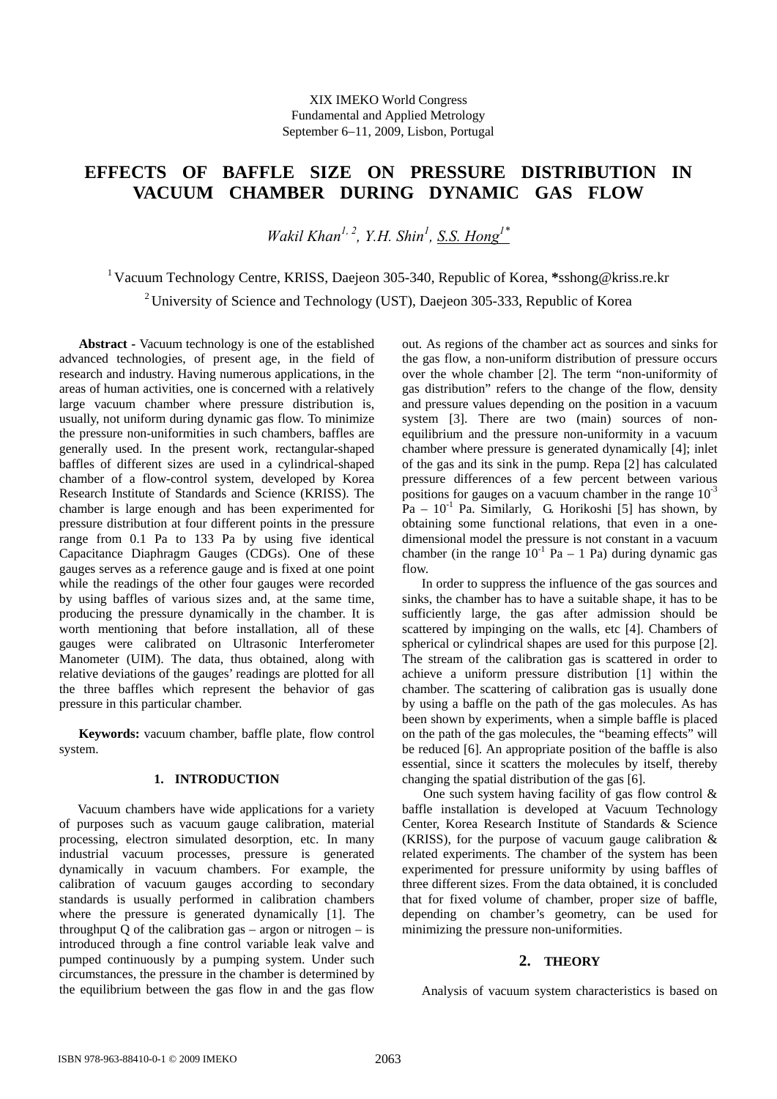# **EFFECTS OF BAFFLE SIZE ON PRESSURE DISTRIBUTION IN VACUUM CHAMBER DURING DYNAMIC GAS FLOW**

*Wakil Khan1, 2, Y.H. Shin1 , S.S. Hong1\**

1 Vacuum Technology Centre, KRISS, Daejeon 305-340, Republic of Korea, **\***sshong@kriss.re.kr <sup>2</sup> University of Science and Technology (UST), Daejeon 305-333, Republic of Korea

 **Abstract -** Vacuum technology is one of the established advanced technologies, of present age, in the field of research and industry. Having numerous applications, in the areas of human activities, one is concerned with a relatively large vacuum chamber where pressure distribution is, usually, not uniform during dynamic gas flow. To minimize the pressure non-uniformities in such chambers, baffles are generally used. In the present work, rectangular-shaped baffles of different sizes are used in a cylindrical-shaped chamber of a flow-control system, developed by Korea Research Institute of Standards and Science (KRISS). The chamber is large enough and has been experimented for pressure distribution at four different points in the pressure range from 0.1 Pa to 133 Pa by using five identical Capacitance Diaphragm Gauges (CDGs). One of these gauges serves as a reference gauge and is fixed at one point while the readings of the other four gauges were recorded by using baffles of various sizes and, at the same time, producing the pressure dynamically in the chamber. It is worth mentioning that before installation, all of these gauges were calibrated on Ultrasonic Interferometer Manometer (UIM). The data, thus obtained, along with relative deviations of the gauges' readings are plotted for all the three baffles which represent the behavior of gas pressure in this particular chamber.

**Keywords:** vacuum chamber, baffle plate, flow control system.

## **1. INTRODUCTION**

Vacuum chambers have wide applications for a variety of purposes such as vacuum gauge calibration, material processing, electron simulated desorption, etc. In many industrial vacuum processes, pressure is generated dynamically in vacuum chambers. For example, the calibration of vacuum gauges according to secondary standards is usually performed in calibration chambers where the pressure is generated dynamically [1]. The throughput Q of the calibration gas  $-$  argon or nitrogen  $-$  is introduced through a fine control variable leak valve and pumped continuously by a pumping system. Under such circumstances, the pressure in the chamber is determined by the equilibrium between the gas flow in and the gas flow

out. As regions of the chamber act as sources and sinks for the gas flow, a non-uniform distribution of pressure occurs over the whole chamber [2]. The term "non-uniformity of gas distribution" refers to the change of the flow, density and pressure values depending on the position in a vacuum system [3]. There are two (main) sources of nonequilibrium and the pressure non-uniformity in a vacuum chamber where pressure is generated dynamically [4]; inlet of the gas and its sink in the pump. Repa [2] has calculated pressure differences of a few percent between various positions for gauges on a vacuum chamber in the range  $10^{-3}$  $Pa - 10^{-1}$  Pa. Similarly, G. Horikoshi [5] has shown, by obtaining some functional relations, that even in a onedimensional model the pressure is not constant in a vacuum chamber (in the range  $10^{-1}$  Pa – 1 Pa) during dynamic gas flow.

 In order to suppress the influence of the gas sources and sinks, the chamber has to have a suitable shape, it has to be sufficiently large, the gas after admission should be scattered by impinging on the walls, etc [4]. Chambers of spherical or cylindrical shapes are used for this purpose [2]. The stream of the calibration gas is scattered in order to achieve a uniform pressure distribution [1] within the chamber. The scattering of calibration gas is usually done by using a baffle on the path of the gas molecules. As has been shown by experiments, when a simple baffle is placed on the path of the gas molecules, the "beaming effects" will be reduced [6]. An appropriate position of the baffle is also essential, since it scatters the molecules by itself, thereby changing the spatial distribution of the gas [6].

 One such system having facility of gas flow control & baffle installation is developed at Vacuum Technology Center, Korea Research Institute of Standards & Science (KRISS), for the purpose of vacuum gauge calibration  $\&$ related experiments. The chamber of the system has been experimented for pressure uniformity by using baffles of three different sizes. From the data obtained, it is concluded that for fixed volume of chamber, proper size of baffle, depending on chamber's geometry, can be used for minimizing the pressure non-uniformities.

# **2. THEORY**

Analysis of vacuum system characteristics is based on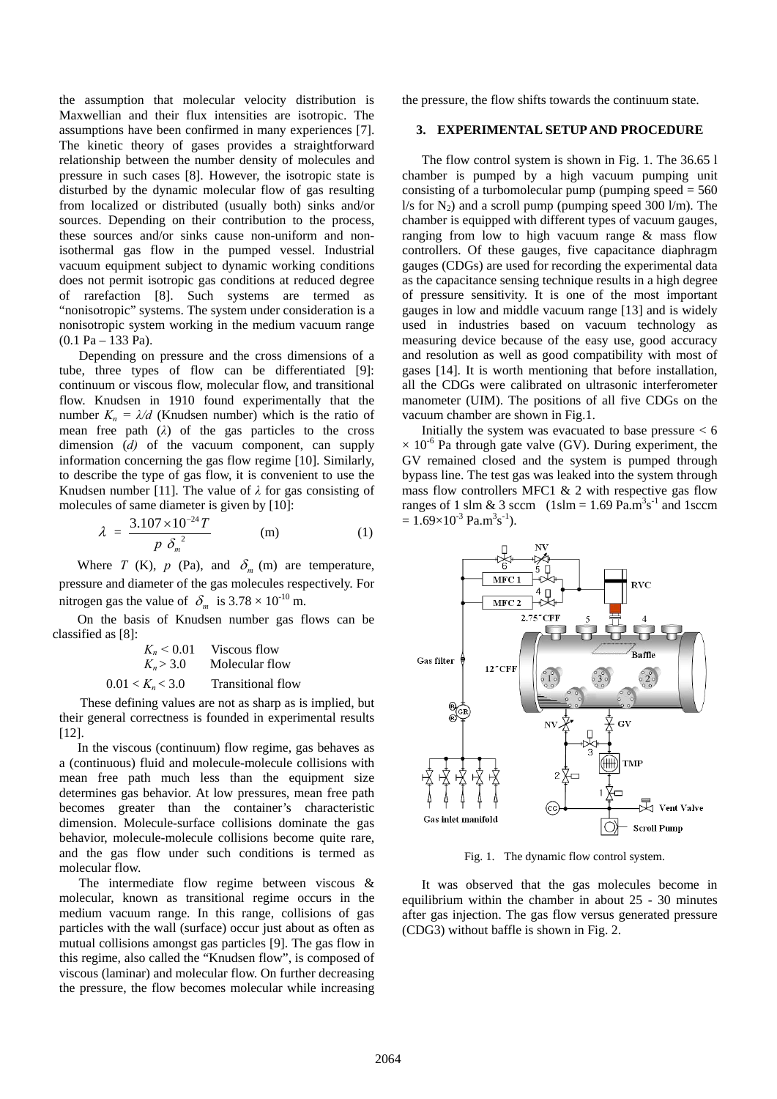the assumption that molecular velocity distribution is Maxwellian and their flux intensities are isotropic. The assumptions have been confirmed in many experiences [7]. The kinetic theory of gases provides a straightforward relationship between the number density of molecules and pressure in such cases [8]. However, the isotropic state is disturbed by the dynamic molecular flow of gas resulting from localized or distributed (usually both) sinks and/or sources. Depending on their contribution to the process, these sources and/or sinks cause non-uniform and nonisothermal gas flow in the pumped vessel. Industrial vacuum equipment subject to dynamic working conditions does not permit isotropic gas conditions at reduced degree of rarefaction [8]. Such systems are termed as "nonisotropic" systems. The system under consideration is a nonisotropic system working in the medium vacuum range  $(0.1 \text{ Pa} - 133 \text{ Pa}).$ 

 Depending on pressure and the cross dimensions of a tube, three types of flow can be differentiated [9]: continuum or viscous flow, molecular flow, and transitional flow. Knudsen in 1910 found experimentally that the number  $K_n = \lambda/d$  (Knudsen number) which is the ratio of mean free path  $(\lambda)$  of the gas particles to the cross dimension (*d)* of the vacuum component, can supply information concerning the gas flow regime [10]. Similarly, to describe the type of gas flow, it is convenient to use the Knudsen number [11]. The value of  $\lambda$  for gas consisting of molecules of same diameter is given by [10]:

$$
\lambda = \frac{3.107 \times 10^{-24} T}{p \delta_m^2}
$$
 (m) (1)

Where *T* (K), *p* (Pa), and  $\delta_m$  (m) are temperature, pressure and diameter of the gas molecules respectively. For nitrogen gas the value of  $\delta_m$  is  $3.78 \times 10^{-10}$  m.

 On the basis of Knudsen number gas flows can be classified as [8]:

|                    | $K_n \leq 0.01$ Viscous flow |
|--------------------|------------------------------|
| $K_n > 3.0$        | Molecular flow               |
| $0.01 < K_n < 3.0$ | <b>Transitional flow</b>     |

 These defining values are not as sharp as is implied, but their general correctness is founded in experimental results [12].

 In the viscous (continuum) flow regime, gas behaves as a (continuous) fluid and molecule-molecule collisions with mean free path much less than the equipment size determines gas behavior. At low pressures, mean free path becomes greater than the container's characteristic dimension. Molecule-surface collisions dominate the gas behavior, molecule-molecule collisions become quite rare, and the gas flow under such conditions is termed as molecular flow.

 The intermediate flow regime between viscous & molecular, known as transitional regime occurs in the medium vacuum range. In this range, collisions of gas particles with the wall (surface) occur just about as often as mutual collisions amongst gas particles [9]. The gas flow in this regime, also called the "Knudsen flow", is composed of viscous (laminar) and molecular flow. On further decreasing the pressure, the flow becomes molecular while increasing the pressure, the flow shifts towards the continuum state.

#### **3. EXPERIMENTAL SETUP AND PROCEDURE**

 The flow control system is shown in Fig. 1. The 36.65 l chamber is pumped by a high vacuum pumping unit consisting of a turbomolecular pump (pumping speed  $= 560$  $1/s$  for  $N_2$ ) and a scroll pump (pumping speed 300 l/m). The chamber is equipped with different types of vacuum gauges, ranging from low to high vacuum range & mass flow controllers. Of these gauges, five capacitance diaphragm gauges (CDGs) are used for recording the experimental data as the capacitance sensing technique results in a high degree of pressure sensitivity. It is one of the most important gauges in low and middle vacuum range [13] and is widely used in industries based on vacuum technology as measuring device because of the easy use, good accuracy and resolution as well as good compatibility with most of gases [14]. It is worth mentioning that before installation, all the CDGs were calibrated on ultrasonic interferometer manometer (UIM). The positions of all five CDGs on the vacuum chamber are shown in Fig.1.

Initially the system was evacuated to base pressure  $< 6$  $\times$  10<sup>-6</sup> Pa through gate valve (GV). During experiment, the GV remained closed and the system is pumped through bypass line. The test gas was leaked into the system through mass flow controllers MFC1 & 2 with respective gas flow ranges of 1 slm & 3 sccm  $(1 \text{slm} = 1.69 \text{ Pa.m}^3 \text{s}^{-1} \text{ and } 1 \text{sccm})$  $= 1.69 \times 10^{-3}$  Pa.m<sup>3</sup>s<sup>-1</sup>).



Fig. 1. The dynamic flow control system.

 It was observed that the gas molecules become in equilibrium within the chamber in about 25 - 30 minutes after gas injection. The gas flow versus generated pressure (CDG3) without baffle is shown in Fig. 2.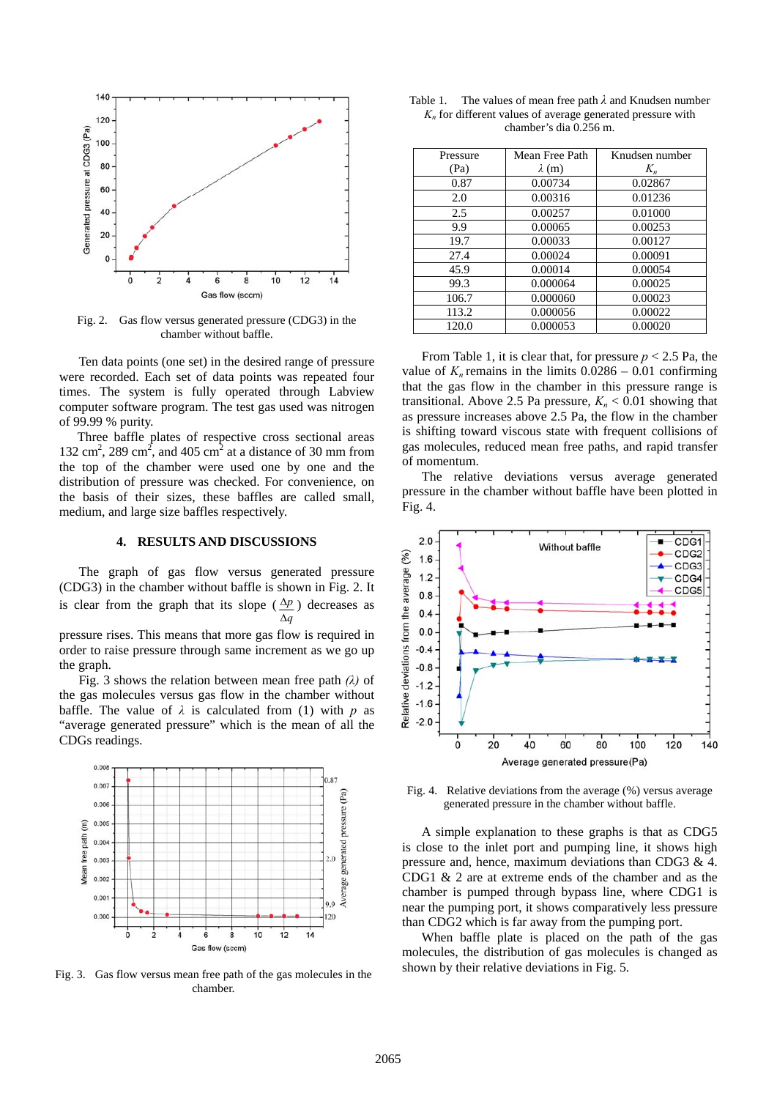

Fig. 2. Gas flow versus generated pressure (CDG3) in the chamber without baffle.

 Ten data points (one set) in the desired range of pressure were recorded. Each set of data points was repeated four times. The system is fully operated through Labview computer software program. The test gas used was nitrogen of 99.99 % purity.

 Three baffle plates of respective cross sectional areas 132 cm<sup>2</sup>, 289 cm<sup>2</sup>, and 405 cm<sup>2</sup> at a distance of 30 mm from the top of the chamber were used one by one and the distribution of pressure was checked. For convenience, on the basis of their sizes, these baffles are called small, medium, and large size baffles respectively.

#### **4. RESULTS AND DISCUSSIONS**

The graph of gas flow versus generated pressure (CDG3) in the chamber without baffle is shown in Fig. 2. It is clear from the graph that its slope  $(\Delta p)$  decreases as *q* pressure rises. This means that more gas flow is required in

order to raise pressure through same increment as we go up the graph.

 Fig. 3 shows the relation between mean free path *(λ)* of the gas molecules versus gas flow in the chamber without baffle. The value of  $\lambda$  is calculated from (1) with *p* as "average generated pressure" which is the mean of all the CDGs readings.



shown by their relative deviations in Fig. 5. Fig. 3. Gas flow versus mean free path of the gas molecules in the chamber.

| Table 1. The values of mean free path $\lambda$ and Knudsen number |
|--------------------------------------------------------------------|
| $K_n$ for different values of average generated pressure with      |
| chamber's dia 0.256 m.                                             |

| Pressure | Mean Free Path | Knudsen number |
|----------|----------------|----------------|
|          |                |                |
| (Pa)     | $\lambda$ (m)  | $K_n$          |
| 0.87     | 0.00734        | 0.02867        |
| 2.0      | 0.00316        | 0.01236        |
| 2.5      | 0.00257        | 0.01000        |
| 9.9      | 0.00065        | 0.00253        |
| 19.7     | 0.00033        | 0.00127        |
| 27.4     | 0.00024        | 0.00091        |
| 45.9     | 0.00014        | 0.00054        |
| 99.3     | 0.000064       | 0.00025        |
| 106.7    | 0.000060       | 0.00023        |
| 113.2    | 0.000056       | 0.00022        |
| 120.0    | 0.000053       | 0.00020        |

From Table 1, it is clear that, for pressure *p* < 2.5 Pa, the value of  $K_n$  remains in the limits  $0.0286 - 0.01$  confirming that the gas flow in the chamber in this pressure range is transitional. Above 2.5 Pa pressure,  $K_n < 0.01$  showing that as pressure increases above 2.5 Pa, the flow in the chamber is shifting toward viscous state with frequent collisions of gas molecules, reduced mean free paths, and rapid transfer of momentum.

The relative deviations versus average generated pressure in the chamber without baffle have been plotted in Fig. 4.



Fig. 4. Relative deviations from the average (%) versus average generated pressure in the chamber without baffle.

 A simple explanation to these graphs is that as CDG5 is close to the inlet port and pumping line, it shows high pressure and, hence, maximum deviations than CDG3 & 4. CDG1 & 2 are at extreme ends of the chamber and as the chamber is pumped through bypass line, where CDG1 is near the pumping port, it shows comparatively less pressure than CDG2 which is far away from the pumping port.

 When baffle plate is placed on the path of the gas molecules, the distribution of gas molecules is changed as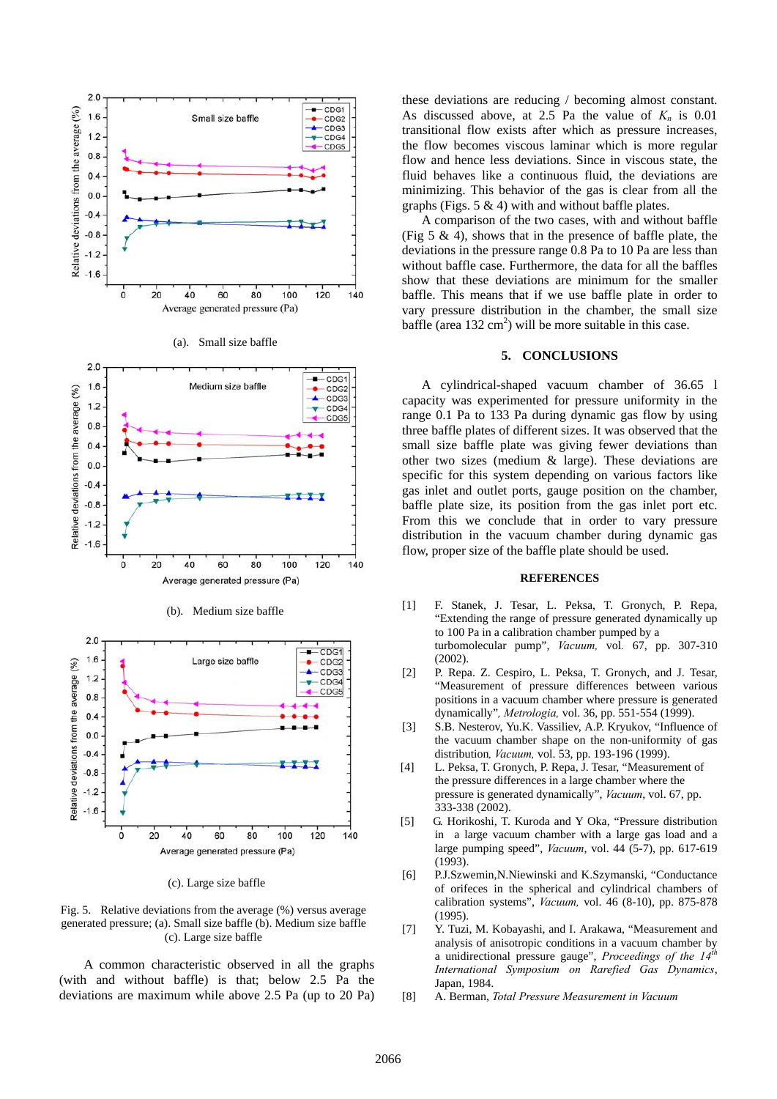

(c). Large size baffle

Fig. 5. Relative deviations from the average (%) versus average generated pressure; (a). Small size baffle (b). Medium size baffle (c). Large size baffle

 A common characteristic observed in all the graphs (with and without baffle) is that; below 2.5 Pa the deviations are maximum while above 2.5 Pa (up to 20 Pa) these deviations are reducing / becoming almost constant. As discussed above, at 2.5 Pa the value of  $K_n$  is 0.01 transitional flow exists after which as pressure increases, the flow becomes viscous laminar which is more regular flow and hence less deviations. Since in viscous state, the fluid behaves like a continuous fluid, the deviations are minimizing. This behavior of the gas is clear from all the graphs (Figs.  $5 \& 4$ ) with and without baffle plates.

 A comparison of the two cases, with and without baffle (Fig 5 & 4), shows that in the presence of baffle plate, the deviations in the pressure range 0.8 Pa to 10 Pa are less than without baffle case. Furthermore, the data for all the baffles show that these deviations are minimum for the smaller baffle. This means that if we use baffle plate in order to vary pressure distribution in the chamber, the small size baffle (area  $132 \text{ cm}^2$ ) will be more suitable in this case.

## **5. CONCLUSIONS**

A cylindrical-shaped vacuum chamber of 36.65 l capacity was experimented for pressure uniformity in the range 0.1 Pa to 133 Pa during dynamic gas flow by using three baffle plates of different sizes. It was observed that the small size baffle plate was giving fewer deviations than other two sizes (medium & large). These deviations are specific for this system depending on various factors like gas inlet and outlet ports, gauge position on the chamber, baffle plate size, its position from the gas inlet port etc. From this we conclude that in order to vary pressure distribution in the vacuum chamber during dynamic gas flow, proper size of the baffle plate should be used.

#### **REFERENCES**

- [1] F. Stanek, J. Tesar, L. Peksa, T. Gronych, P. Repa, "Extending the range of pressure generated dynamically up to 100 Pa in a calibration chamber pumped by a turbomolecular pump", *Vacuum,* vol*.* 67, pp. 307-310  $(2002)$
- [2] P. Repa. Z. Cespiro, L. Peksa, T. Gronych, and J. Tesar, "Measurement of pressure differences between various positions in a vacuum chamber where pressure is generated dynamically"*, Metrologia,* vol. 36, pp. 551-554 (1999).
- [3] S.B. Nesterov, Yu.K. Vassiliev, A.P. Kryukov, "Influence of the vacuum chamber shape on the non-uniformity of gas distribution*, Vacuum,* vol. 53, pp. 193-196 (1999).
- [4] L. Peksa, T. Gronych, P. Repa, J. Tesar, "Measurement of the pressure differences in a large chamber where the pressure is generated dynamically", *Vacuum*, vol. 67, pp. 333-338 (2002).
- [5] G. Horikoshi, T. Kuroda and Y Oka, "Pressure distribution in a large vacuum chamber with a large gas load and a large pumping speed", *Vacuum*, vol. 44 (5-7), pp. 617-619 (1993).
- [6] P.J.Szwemin,N.Niewinski and K.Szymanski, "Conductance of orifeces in the spherical and cylindrical chambers of calibration systems", *Vacuum,* vol. 46 (8-10), pp. 875-878 (1995).
- [7] Y. Tuzi, M. Kobayashi, and I. Arakawa, "Measurement and analysis of anisotropic conditions in a vacuum chamber by a unidirectional pressure gauge", *Proceedings of the 14th International Symposium on Rarefied Gas Dynamics*, Japan, 1984.
- [8] A. Berman, *Total Pressure Measurement in Vacuum*